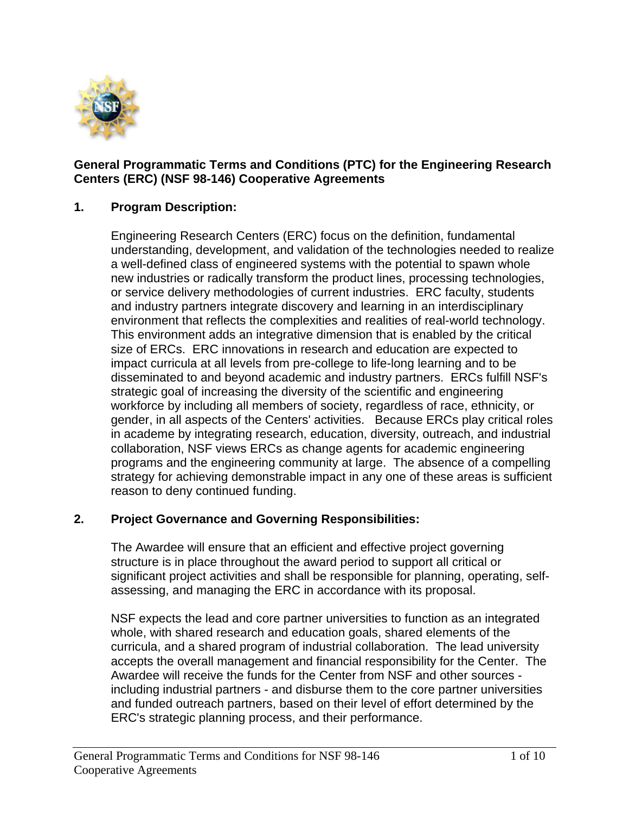

## **General Programmatic Terms and Conditions (PTC) for the Engineering Research Centers (ERC) (NSF 98-146) Cooperative Agreements**

## **1. Program Description:**

Engineering Research Centers (ERC) focus on the definition, fundamental understanding, development, and validation of the technologies needed to realize a well-defined class of engineered systems with the potential to spawn whole new industries or radically transform the product lines, processing technologies, or service delivery methodologies of current industries. ERC faculty, students and industry partners integrate discovery and learning in an interdisciplinary environment that reflects the complexities and realities of real-world technology. This environment adds an integrative dimension that is enabled by the critical size of ERCs. ERC innovations in research and education are expected to impact curricula at all levels from pre-college to life-long learning and to be disseminated to and beyond academic and industry partners. ERCs fulfill NSF's strategic goal of increasing the diversity of the scientific and engineering workforce by including all members of society, regardless of race, ethnicity, or gender, in all aspects of the Centers' activities. Because ERCs play critical roles in academe by integrating research, education, diversity, outreach, and industrial collaboration, NSF views ERCs as change agents for academic engineering programs and the engineering community at large. The absence of a compelling strategy for achieving demonstrable impact in any one of these areas is sufficient reason to deny continued funding.

## **2. Project Governance and Governing Responsibilities:**

The Awardee will ensure that an efficient and effective project governing structure is in place throughout the award period to support all critical or significant project activities and shall be responsible for planning, operating, selfassessing, and managing the ERC in accordance with its proposal.

NSF expects the lead and core partner universities to function as an integrated whole, with shared research and education goals, shared elements of the curricula, and a shared program of industrial collaboration. The lead university accepts the overall management and financial responsibility for the Center. The Awardee will receive the funds for the Center from NSF and other sources including industrial partners - and disburse them to the core partner universities and funded outreach partners, based on their level of effort determined by the ERC's strategic planning process, and their performance.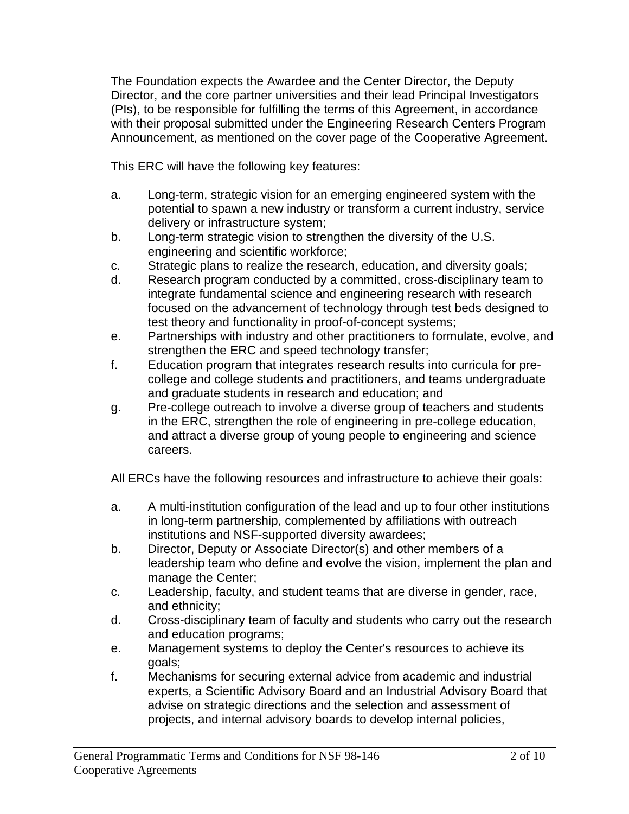The Foundation expects the Awardee and the Center Director, the Deputy Director, and the core partner universities and their lead Principal Investigators (PIs), to be responsible for fulfilling the terms of this Agreement, in accordance with their proposal submitted under the Engineering Research Centers Program Announcement, as mentioned on the cover page of the Cooperative Agreement.

This ERC will have the following key features:

- a. Long-term, strategic vision for an emerging engineered system with the potential to spawn a new industry or transform a current industry, service delivery or infrastructure system;
- b. Long-term strategic vision to strengthen the diversity of the U.S. engineering and scientific workforce;
- c. Strategic plans to realize the research, education, and diversity goals;
- d. Research program conducted by a committed, cross-disciplinary team to integrate fundamental science and engineering research with research focused on the advancement of technology through test beds designed to test theory and functionality in proof-of-concept systems;
- e. Partnerships with industry and other practitioners to formulate, evolve, and strengthen the ERC and speed technology transfer;
- f. Education program that integrates research results into curricula for precollege and college students and practitioners, and teams undergraduate and graduate students in research and education; and
- g. Pre-college outreach to involve a diverse group of teachers and students in the ERC, strengthen the role of engineering in pre-college education, and attract a diverse group of young people to engineering and science careers.

All ERCs have the following resources and infrastructure to achieve their goals:

- a. A multi-institution configuration of the lead and up to four other institutions in long-term partnership, complemented by affiliations with outreach institutions and NSF-supported diversity awardees;
- b. Director, Deputy or Associate Director(s) and other members of a leadership team who define and evolve the vision, implement the plan and manage the Center;
- c. Leadership, faculty, and student teams that are diverse in gender, race, and ethnicity;
- d. Cross-disciplinary team of faculty and students who carry out the research and education programs;
- e. Management systems to deploy the Center's resources to achieve its goals;
- f. Mechanisms for securing external advice from academic and industrial experts, a Scientific Advisory Board and an Industrial Advisory Board that advise on strategic directions and the selection and assessment of projects, and internal advisory boards to develop internal policies,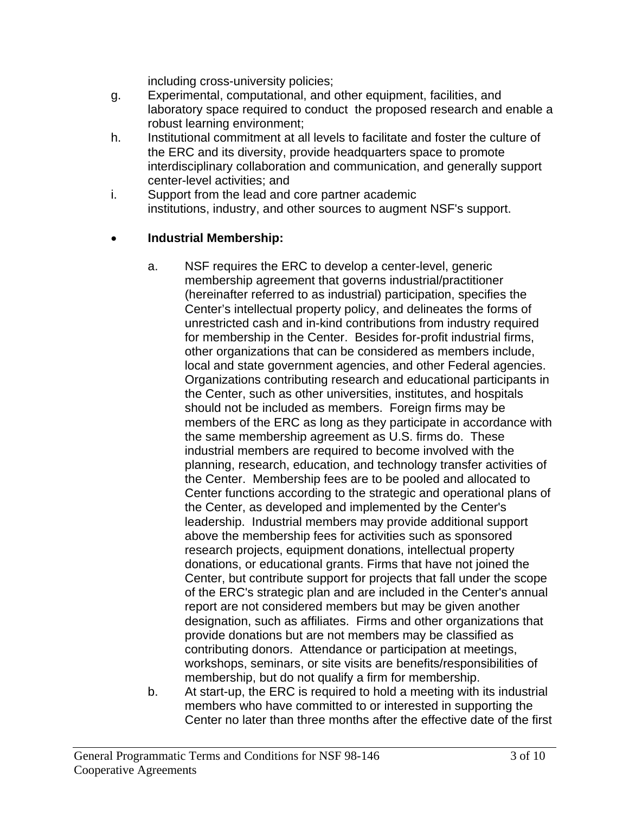including cross-university policies;

- g. Experimental, computational, and other equipment, facilities, and laboratory space required to conduct the proposed research and enable a robust learning environment;
- h. Institutional commitment at all levels to facilitate and foster the culture of the ERC and its diversity, provide headquarters space to promote interdisciplinary collaboration and communication, and generally support center-level activities; and
- i. Support from the lead and core partner academic institutions, industry, and other sources to augment NSF's support.

## • **Industrial Membership:**

- a. NSF requires the ERC to develop a center-level, generic membership agreement that governs industrial/practitioner (hereinafter referred to as industrial) participation, specifies the Center's intellectual property policy, and delineates the forms of unrestricted cash and in-kind contributions from industry required for membership in the Center. Besides for-profit industrial firms, other organizations that can be considered as members include, local and state government agencies, and other Federal agencies. Organizations contributing research and educational participants in the Center, such as other universities, institutes, and hospitals should not be included as members. Foreign firms may be members of the ERC as long as they participate in accordance with the same membership agreement as U.S. firms do. These industrial members are required to become involved with the planning, research, education, and technology transfer activities of the Center. Membership fees are to be pooled and allocated to Center functions according to the strategic and operational plans of the Center, as developed and implemented by the Center's leadership. Industrial members may provide additional support above the membership fees for activities such as sponsored research projects, equipment donations, intellectual property donations, or educational grants. Firms that have not joined the Center, but contribute support for projects that fall under the scope of the ERC's strategic plan and are included in the Center's annual report are not considered members but may be given another designation, such as affiliates. Firms and other organizations that provide donations but are not members may be classified as contributing donors. Attendance or participation at meetings, workshops, seminars, or site visits are benefits/responsibilities of membership, but do not qualify a firm for membership.
- b. At start-up, the ERC is required to hold a meeting with its industrial members who have committed to or interested in supporting the Center no later than three months after the effective date of the first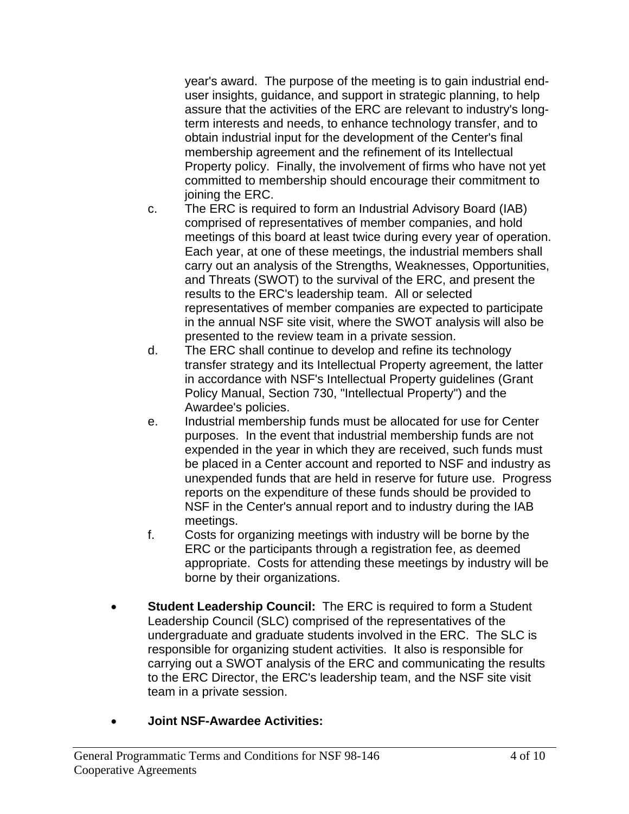year's award. The purpose of the meeting is to gain industrial enduser insights, guidance, and support in strategic planning, to help assure that the activities of the ERC are relevant to industry's longterm interests and needs, to enhance technology transfer, and to obtain industrial input for the development of the Center's final membership agreement and the refinement of its Intellectual Property policy. Finally, the involvement of firms who have not yet committed to membership should encourage their commitment to joining the ERC.

- c. The ERC is required to form an Industrial Advisory Board (IAB) comprised of representatives of member companies, and hold meetings of this board at least twice during every year of operation. Each year, at one of these meetings, the industrial members shall carry out an analysis of the Strengths, Weaknesses, Opportunities, and Threats (SWOT) to the survival of the ERC, and present the results to the ERC's leadership team. All or selected representatives of member companies are expected to participate in the annual NSF site visit, where the SWOT analysis will also be presented to the review team in a private session.
- d. The ERC shall continue to develop and refine its technology transfer strategy and its Intellectual Property agreement, the latter in accordance with NSF's Intellectual Property guidelines (Grant Policy Manual, Section 730, "Intellectual Property") and the Awardee's policies.
- e. Industrial membership funds must be allocated for use for Center purposes. In the event that industrial membership funds are not expended in the year in which they are received, such funds must be placed in a Center account and reported to NSF and industry as unexpended funds that are held in reserve for future use. Progress reports on the expenditure of these funds should be provided to NSF in the Center's annual report and to industry during the IAB meetings.
- f. Costs for organizing meetings with industry will be borne by the ERC or the participants through a registration fee, as deemed appropriate. Costs for attending these meetings by industry will be borne by their organizations.
- **Student Leadership Council:** The ERC is required to form a Student Leadership Council (SLC) comprised of the representatives of the undergraduate and graduate students involved in the ERC. The SLC is responsible for organizing student activities. It also is responsible for carrying out a SWOT analysis of the ERC and communicating the results to the ERC Director, the ERC's leadership team, and the NSF site visit team in a private session.
- **Joint NSF-Awardee Activities:**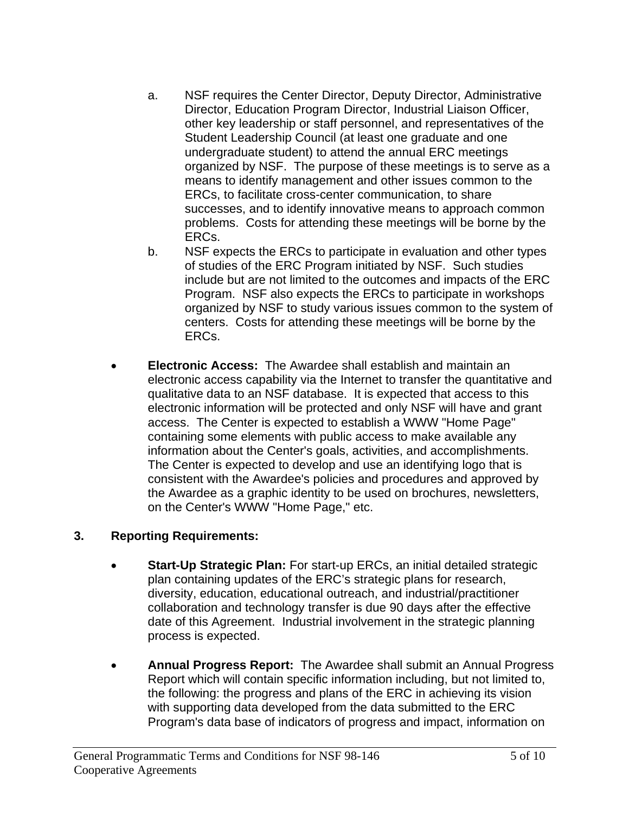- a. NSF requires the Center Director, Deputy Director, Administrative Director, Education Program Director, Industrial Liaison Officer, other key leadership or staff personnel, and representatives of the Student Leadership Council (at least one graduate and one undergraduate student) to attend the annual ERC meetings organized by NSF. The purpose of these meetings is to serve as a means to identify management and other issues common to the ERCs, to facilitate cross-center communication, to share successes, and to identify innovative means to approach common problems. Costs for attending these meetings will be borne by the ERCs.
- b. NSF expects the ERCs to participate in evaluation and other types of studies of the ERC Program initiated by NSF. Such studies include but are not limited to the outcomes and impacts of the ERC Program. NSF also expects the ERCs to participate in workshops organized by NSF to study various issues common to the system of centers. Costs for attending these meetings will be borne by the ERCs.
- **Electronic Access:** The Awardee shall establish and maintain an electronic access capability via the Internet to transfer the quantitative and qualitative data to an NSF database. It is expected that access to this electronic information will be protected and only NSF will have and grant access. The Center is expected to establish a WWW "Home Page" containing some elements with public access to make available any information about the Center's goals, activities, and accomplishments. The Center is expected to develop and use an identifying logo that is consistent with the Awardee's policies and procedures and approved by the Awardee as a graphic identity to be used on brochures, newsletters, on the Center's WWW "Home Page," etc.

# **3. Reporting Requirements:**

- **Start-Up Strategic Plan:** For start-up ERCs, an initial detailed strategic plan containing updates of the ERC's strategic plans for research, diversity, education, educational outreach, and industrial/practitioner collaboration and technology transfer is due 90 days after the effective date of this Agreement. Industrial involvement in the strategic planning process is expected.
- **Annual Progress Report:** The Awardee shall submit an Annual Progress Report which will contain specific information including, but not limited to, the following: the progress and plans of the ERC in achieving its vision with supporting data developed from the data submitted to the ERC Program's data base of indicators of progress and impact, information on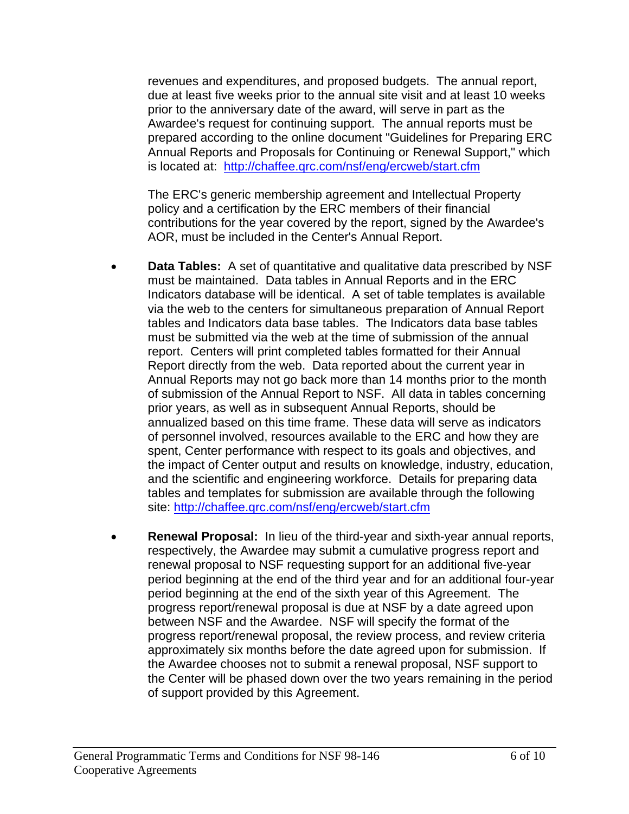revenues and expenditures, and proposed budgets. The annual report, due at least five weeks prior to the annual site visit and at least 10 weeks prior to the anniversary date of the award, will serve in part as the Awardee's request for continuing support. The annual reports must be prepared according to the online document "Guidelines for Preparing ERC Annual Reports and Proposals for Continuing or Renewal Support," which is located at: http://chaffee.qrc.com/nsf/eng/ercweb/start.cfm

The ERC's generic membership agreement and Intellectual Property policy and a certification by the ERC members of their financial contributions for the year covered by the report, signed by the Awardee's AOR, must be included in the Center's Annual Report.

- **Data Tables:** A set of quantitative and qualitative data prescribed by NSF must be maintained. Data tables in Annual Reports and in the ERC Indicators database will be identical. A set of table templates is available via the web to the centers for simultaneous preparation of Annual Report tables and Indicators data base tables. The Indicators data base tables must be submitted via the web at the time of submission of the annual report. Centers will print completed tables formatted for their Annual Report directly from the web. Data reported about the current year in Annual Reports may not go back more than 14 months prior to the month of submission of the Annual Report to NSF. All data in tables concerning prior years, as well as in subsequent Annual Reports, should be annualized based on this time frame. These data will serve as indicators of personnel involved, resources available to the ERC and how they are spent, Center performance with respect to its goals and objectives, and the impact of Center output and results on knowledge, industry, education, and the scientific and engineering workforce. Details for preparing data tables and templates for submission are available through the following site: http://chaffee.qrc.com/nsf/eng/ercweb/start.cfm
- **Renewal Proposal:** In lieu of the third-year and sixth-year annual reports, respectively, the Awardee may submit a cumulative progress report and renewal proposal to NSF requesting support for an additional five-year period beginning at the end of the third year and for an additional four-year period beginning at the end of the sixth year of this Agreement. The progress report/renewal proposal is due at NSF by a date agreed upon between NSF and the Awardee. NSF will specify the format of the progress report/renewal proposal, the review process, and review criteria approximately six months before the date agreed upon for submission. If the Awardee chooses not to submit a renewal proposal, NSF support to the Center will be phased down over the two years remaining in the period of support provided by this Agreement.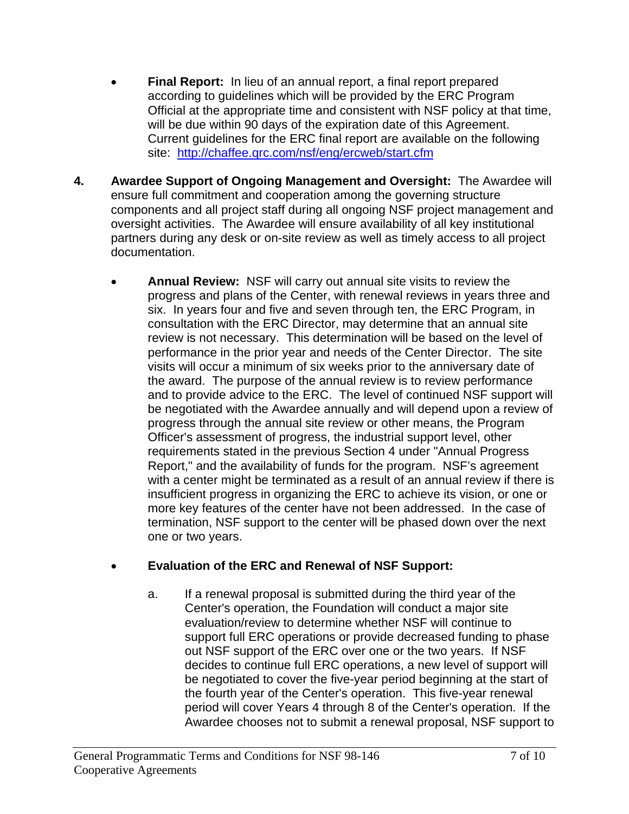- **Final Report:** In lieu of an annual report, a final report prepared according to guidelines which will be provided by the ERC Program Official at the appropriate time and consistent with NSF policy at that time, will be due within 90 days of the expiration date of this Agreement. Current guidelines for the ERC final report are available on the following site: http://chaffee.qrc.com/nsf/eng/ercweb/start.cfm
- **4. Awardee Support of Ongoing Management and Oversight:** The Awardee will ensure full commitment and cooperation among the governing structure components and all project staff during all ongoing NSF project management and oversight activities. The Awardee will ensure availability of all key institutional partners during any desk or on-site review as well as timely access to all project documentation.
	- **Annual Review:** NSF will carry out annual site visits to review the progress and plans of the Center, with renewal reviews in years three and six. In years four and five and seven through ten, the ERC Program, in consultation with the ERC Director, may determine that an annual site review is not necessary. This determination will be based on the level of performance in the prior year and needs of the Center Director. The site visits will occur a minimum of six weeks prior to the anniversary date of the award. The purpose of the annual review is to review performance and to provide advice to the ERC. The level of continued NSF support will be negotiated with the Awardee annually and will depend upon a review of progress through the annual site review or other means, the Program Officer's assessment of progress, the industrial support level, other requirements stated in the previous Section 4 under "Annual Progress Report," and the availability of funds for the program. NSF's agreement with a center might be terminated as a result of an annual review if there is insufficient progress in organizing the ERC to achieve its vision, or one or more key features of the center have not been addressed. In the case of termination, NSF support to the center will be phased down over the next one or two years.

# • **Evaluation of the ERC and Renewal of NSF Support:**

a. If a renewal proposal is submitted during the third year of the Center's operation, the Foundation will conduct a major site evaluation/review to determine whether NSF will continue to support full ERC operations or provide decreased funding to phase out NSF support of the ERC over one or the two years. If NSF decides to continue full ERC operations, a new level of support will be negotiated to cover the five-year period beginning at the start of the fourth year of the Center's operation. This five-year renewal period will cover Years 4 through 8 of the Center's operation. If the Awardee chooses not to submit a renewal proposal, NSF support to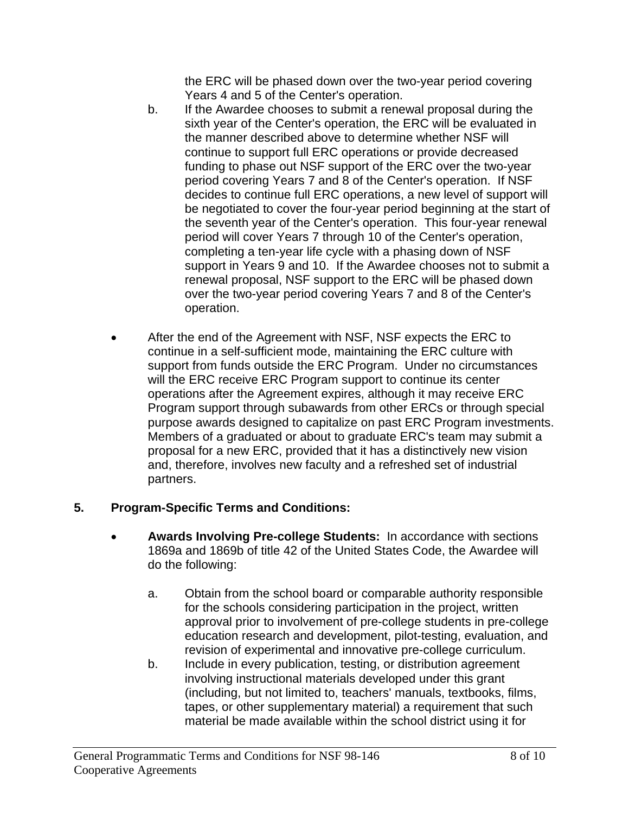the ERC will be phased down over the two-year period covering Years 4 and 5 of the Center's operation.

- b. If the Awardee chooses to submit a renewal proposal during the sixth year of the Center's operation, the ERC will be evaluated in the manner described above to determine whether NSF will continue to support full ERC operations or provide decreased funding to phase out NSF support of the ERC over the two-year period covering Years 7 and 8 of the Center's operation. If NSF decides to continue full ERC operations, a new level of support will be negotiated to cover the four-year period beginning at the start of the seventh year of the Center's operation. This four-year renewal period will cover Years 7 through 10 of the Center's operation, completing a ten-year life cycle with a phasing down of NSF support in Years 9 and 10. If the Awardee chooses not to submit a renewal proposal, NSF support to the ERC will be phased down over the two-year period covering Years 7 and 8 of the Center's operation.
- After the end of the Agreement with NSF, NSF expects the ERC to continue in a self-sufficient mode, maintaining the ERC culture with support from funds outside the ERC Program. Under no circumstances will the ERC receive ERC Program support to continue its center operations after the Agreement expires, although it may receive ERC Program support through subawards from other ERCs or through special purpose awards designed to capitalize on past ERC Program investments. Members of a graduated or about to graduate ERC's team may submit a proposal for a new ERC, provided that it has a distinctively new vision and, therefore, involves new faculty and a refreshed set of industrial partners.

# **5. Program-Specific Terms and Conditions:**

- **Awards Involving Pre-college Students:** In accordance with sections 1869a and 1869b of title 42 of the United States Code, the Awardee will do the following:
	- a. Obtain from the school board or comparable authority responsible for the schools considering participation in the project, written approval prior to involvement of pre-college students in pre-college education research and development, pilot-testing, evaluation, and revision of experimental and innovative pre-college curriculum.
	- b. Include in every publication, testing, or distribution agreement involving instructional materials developed under this grant (including, but not limited to, teachers' manuals, textbooks, films, tapes, or other supplementary material) a requirement that such material be made available within the school district using it for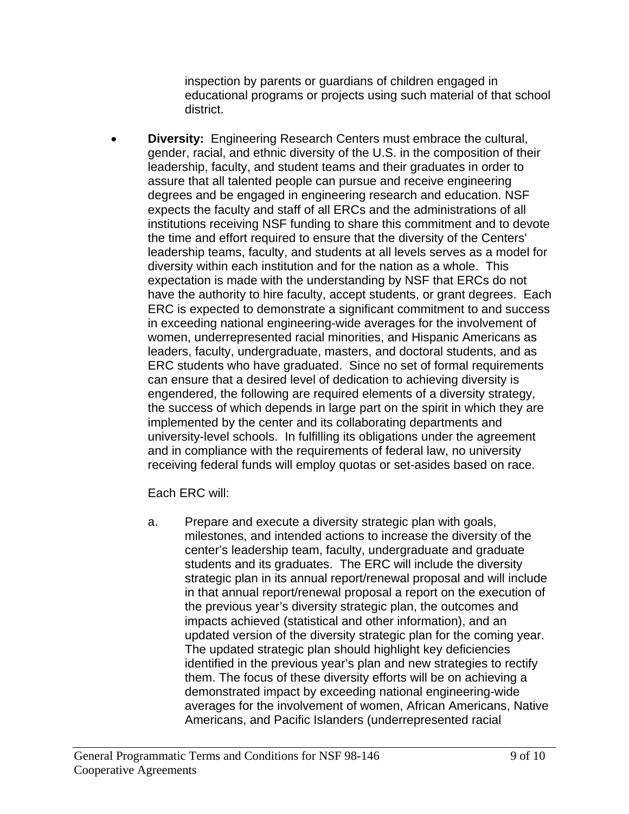inspection by parents or guardians of children engaged in educational programs or projects using such material of that school district.

• **Diversity:** Engineering Research Centers must embrace the cultural, gender, racial, and ethnic diversity of the U.S. in the composition of their leadership, faculty, and student teams and their graduates in order to assure that all talented people can pursue and receive engineering degrees and be engaged in engineering research and education. NSF expects the faculty and staff of all ERCs and the administrations of all institutions receiving NSF funding to share this commitment and to devote the time and effort required to ensure that the diversity of the Centers' leadership teams, faculty, and students at all levels serves as a model for diversity within each institution and for the nation as a whole. This expectation is made with the understanding by NSF that ERCs do not have the authority to hire faculty, accept students, or grant degrees. Each ERC is expected to demonstrate a significant commitment to and success in exceeding national engineering-wide averages for the involvement of women, underrepresented racial minorities, and Hispanic Americans as leaders, faculty, undergraduate, masters, and doctoral students, and as ERC students who have graduated. Since no set of formal requirements can ensure that a desired level of dedication to achieving diversity is engendered, the following are required elements of a diversity strategy, the success of which depends in large part on the spirit in which they are implemented by the center and its collaborating departments and university-level schools. In fulfilling its obligations under the agreement and in compliance with the requirements of federal law, no university receiving federal funds will employ quotas or set-asides based on race.

Each ERC will:

a. Prepare and execute a diversity strategic plan with goals, milestones, and intended actions to increase the diversity of the center's leadership team, faculty, undergraduate and graduate students and its graduates. The ERC will include the diversity strategic plan in its annual report/renewal proposal and will include in that annual report/renewal proposal a report on the execution of the previous year's diversity strategic plan, the outcomes and impacts achieved (statistical and other information), and an updated version of the diversity strategic plan for the coming year. The updated strategic plan should highlight key deficiencies identified in the previous year's plan and new strategies to rectify them. The focus of these diversity efforts will be on achieving a demonstrated impact by exceeding national engineering-wide averages for the involvement of women, African Americans, Native Americans, and Pacific Islanders (underrepresented racial